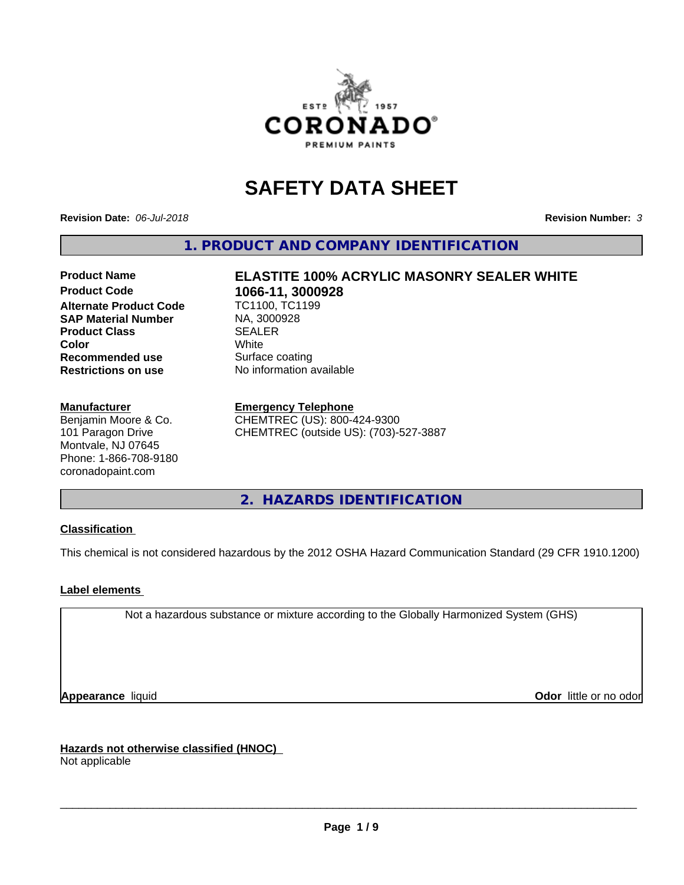

# **SAFETY DATA SHEET**

**Revision Date:** *06-Jul-2018* **Revision Number:** *3*

**1. PRODUCT AND COMPANY IDENTIFICATION**

# **Product Name ELASTITE 100% ACRYLIC MASONRY SEALER WHITE 1066-11, 3000928**<br>TC1100, TC1199

**Alternate Product Code SAP Material Number** MA, 3000928<br> **Product Class** SEALER **Product Class** SEALER **Color** White **Recommended use** Surface coating<br> **Restrictions on use** No information available **Restrictions on use** 

## **Manufacturer**

Benjamin Moore & Co. 101 Paragon Drive Montvale, NJ 07645 Phone: 1-866-708-9180 coronadopaint.com

**Emergency Telephone** CHEMTREC (US): 800-424-9300

CHEMTREC (outside US): (703)-527-3887

**2. HAZARDS IDENTIFICATION**

# **Classification**

This chemical is not considered hazardous by the 2012 OSHA Hazard Communication Standard (29 CFR 1910.1200)

# **Label elements**

Not a hazardous substance or mixture according to the Globally Harmonized System (GHS)

**Appearance** liquid **Odor in the original of the original of the original of the original of the original of the original of the original of the original of the original of the original of the original of the original of t** 

**Hazards not otherwise classified (HNOC)** Not applicable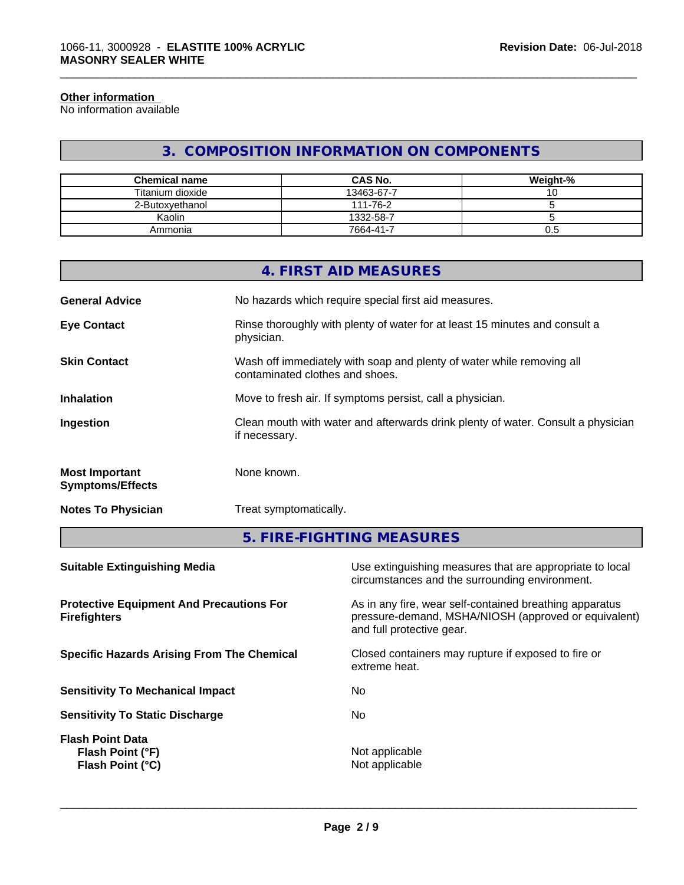#### **Other information**

No information available

# **3. COMPOSITION INFORMATION ON COMPONENTS**

\_\_\_\_\_\_\_\_\_\_\_\_\_\_\_\_\_\_\_\_\_\_\_\_\_\_\_\_\_\_\_\_\_\_\_\_\_\_\_\_\_\_\_\_\_\_\_\_\_\_\_\_\_\_\_\_\_\_\_\_\_\_\_\_\_\_\_\_\_\_\_\_\_\_\_\_\_\_\_\_\_\_\_\_\_\_\_\_\_\_\_\_\_

| <b>Chemical name</b> | <b>CAS No.</b> | Weight-% |
|----------------------|----------------|----------|
| Titanium dioxide     | 13463-67-7     | שו       |
| 2-Butoxvethanol      | 111-76-2       |          |
| Kaolin               | 1332-58-7      |          |
| Ammonia              | 7664-41-7      | U.5      |

|                                                  | 4. FIRST AID MEASURES                                                                                    |
|--------------------------------------------------|----------------------------------------------------------------------------------------------------------|
| <b>General Advice</b>                            | No hazards which require special first aid measures.                                                     |
| <b>Eye Contact</b>                               | Rinse thoroughly with plenty of water for at least 15 minutes and consult a<br>physician.                |
| <b>Skin Contact</b>                              | Wash off immediately with soap and plenty of water while removing all<br>contaminated clothes and shoes. |
| <b>Inhalation</b>                                | Move to fresh air. If symptoms persist, call a physician.                                                |
| Ingestion                                        | Clean mouth with water and afterwards drink plenty of water. Consult a physician<br>if necessary.        |
| <b>Most Important</b><br><b>Symptoms/Effects</b> | None known.                                                                                              |
|                                                  |                                                                                                          |

**Notes To Physician** Treat symptomatically.

**5. FIRE-FIGHTING MEASURES**

| <b>Suitable Extinguishing Media</b>                                    | Use extinguishing measures that are appropriate to local<br>circumstances and the surrounding environment.                                   |
|------------------------------------------------------------------------|----------------------------------------------------------------------------------------------------------------------------------------------|
| <b>Protective Equipment And Precautions For</b><br><b>Firefighters</b> | As in any fire, wear self-contained breathing apparatus<br>pressure-demand, MSHA/NIOSH (approved or equivalent)<br>and full protective gear. |
| <b>Specific Hazards Arising From The Chemical</b>                      | Closed containers may rupture if exposed to fire or<br>extreme heat.                                                                         |
| <b>Sensitivity To Mechanical Impact</b>                                | No.                                                                                                                                          |
| <b>Sensitivity To Static Discharge</b>                                 | No.                                                                                                                                          |
| <b>Flash Point Data</b><br>Flash Point (°F)<br>Flash Point (°C)        | Not applicable<br>Not applicable                                                                                                             |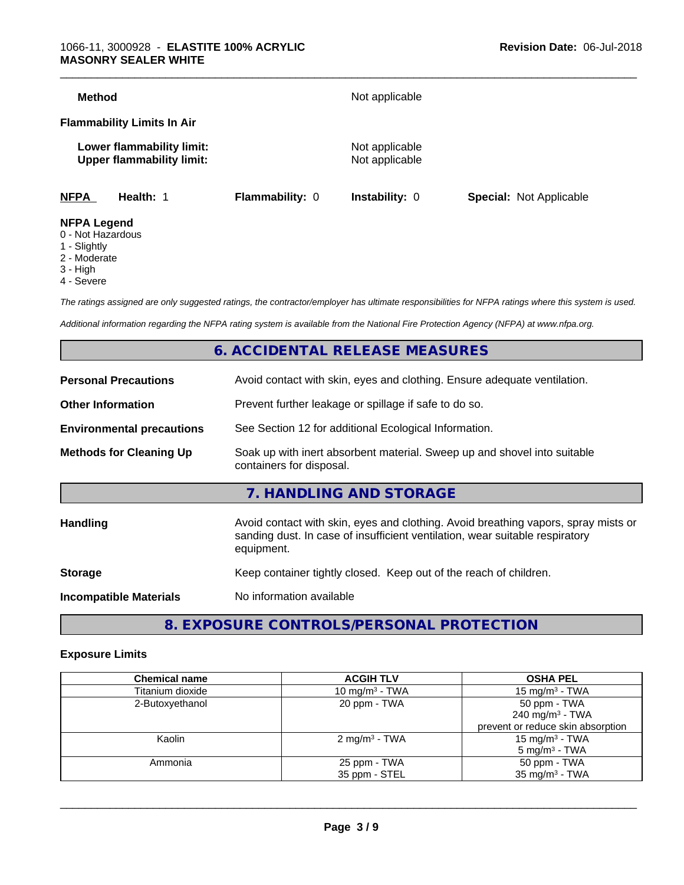| <b>NFPA</b>                       | Health: 1                                                     | <b>Flammability: 0</b> | Instability: 0                   | <b>Special: Not Applicable</b> |
|-----------------------------------|---------------------------------------------------------------|------------------------|----------------------------------|--------------------------------|
|                                   | Lower flammability limit:<br><b>Upper flammability limit:</b> |                        | Not applicable<br>Not applicable |                                |
| <b>Flammability Limits In Air</b> |                                                               |                        |                                  |                                |
| <b>Method</b>                     |                                                               |                        | Not applicable                   |                                |

- 0 Not Hazardous
- 1 Slightly
- 2 Moderate
- 3 High
- 4 Severe

*The ratings assigned are only suggested ratings, the contractor/employer has ultimate responsibilities for NFPA ratings where this system is used.*

*Additional information regarding the NFPA rating system is available from the National Fire Protection Agency (NFPA) at www.nfpa.org.*

# **6. ACCIDENTAL RELEASE MEASURES**

| <b>Personal Precautions</b>      | Avoid contact with skin, eyes and clothing. Ensure adequate ventilation.                                                                                                         |
|----------------------------------|----------------------------------------------------------------------------------------------------------------------------------------------------------------------------------|
| <b>Other Information</b>         | Prevent further leakage or spillage if safe to do so.                                                                                                                            |
| <b>Environmental precautions</b> | See Section 12 for additional Ecological Information.                                                                                                                            |
| <b>Methods for Cleaning Up</b>   | Soak up with inert absorbent material. Sweep up and shovel into suitable<br>containers for disposal.                                                                             |
|                                  | 7. HANDLING AND STORAGE                                                                                                                                                          |
| Handling                         | Avoid contact with skin, eyes and clothing. Avoid breathing vapors, spray mists or<br>sanding dust. In case of insufficient ventilation, wear suitable respiratory<br>equipment. |
| <b>Storage</b>                   | Keep container tightly closed. Keep out of the reach of children.                                                                                                                |
| <b>Incompatible Materials</b>    | No information available                                                                                                                                                         |
|                                  |                                                                                                                                                                                  |

**8. EXPOSURE CONTROLS/PERSONAL PROTECTION**

#### **Exposure Limits**

| <b>Chemical name</b> | <b>ACGIH TLV</b>         | <b>OSHA PEL</b>                   |
|----------------------|--------------------------|-----------------------------------|
| Titanium dioxide     | 10 mg/m $3$ - TWA        | 15 mg/m $3$ - TWA                 |
| 2-Butoxyethanol      | 20 ppm - TWA             | 50 ppm - TWA                      |
|                      |                          | 240 mg/m <sup>3</sup> - TWA       |
|                      |                          | prevent or reduce skin absorption |
| Kaolin               | $2 \text{ mg/m}^3$ - TWA | 15 mg/m <sup>3</sup> - TWA        |
|                      |                          | $5 \text{ mg/m}^3$ - TWA          |
| Ammonia              | 25 ppm - TWA             | 50 ppm - TWA                      |
|                      | 35 ppm - STEL            | $35 \text{ mg/m}^3$ - TWA         |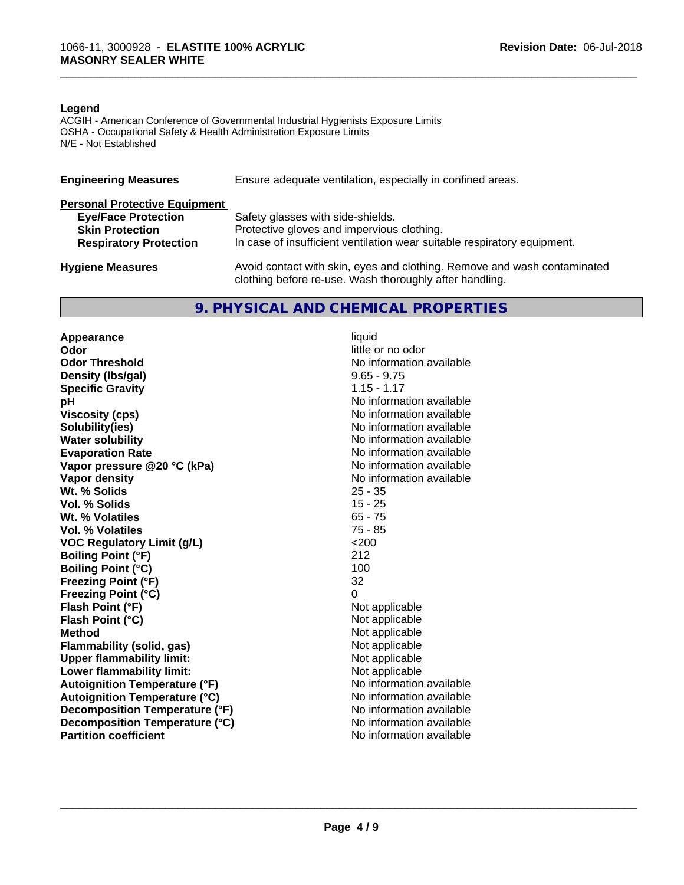#### **Legend**

ACGIH - American Conference of Governmental Industrial Hygienists Exposure Limits OSHA - Occupational Safety & Health Administration Exposure Limits N/E - Not Established

| <b>Engineering Measures</b>          | Ensure adequate ventilation, especially in confined areas.                                                                          |
|--------------------------------------|-------------------------------------------------------------------------------------------------------------------------------------|
| <b>Personal Protective Equipment</b> |                                                                                                                                     |
| <b>Eye/Face Protection</b>           | Safety glasses with side-shields.                                                                                                   |
| <b>Skin Protection</b>               | Protective gloves and impervious clothing.                                                                                          |
| <b>Respiratory Protection</b>        | In case of insufficient ventilation wear suitable respiratory equipment.                                                            |
| <b>Hygiene Measures</b>              | Avoid contact with skin, eyes and clothing. Remove and wash contaminated<br>clothing before re-use. Wash thoroughly after handling. |

# **9. PHYSICAL AND CHEMICAL PROPERTIES**

**Appearance** liquid<br> **Appearance** liquid<br> **Odor Odor Threshold No information available No information available Density (Ibs/gal)** 9.65 - 9.75<br> **Specific Gravity** 1.15 - 1.17 **Specific Gravity**<br>pH **Viscosity (cps)** No information available **Solubility(ies)** No information available **Water solubility** No information available **Evaporation Rate No information available No information available Vapor pressure @20 °C (kPa)** No information available **Vapor density**<br> **We Solids**<br>
We Solid With the Solid Superior Contract Minimal Contract Minimal Contract Minimal Contract Minimal Contract Minimal Contract Minimal Contract Minimal Contract Minimal Contract Minimal Contra Wt. % Solids **Vol. % Solids** 15 - 25 **Wt. % Volatiles** 65 - 75<br> **Vol. % Volatiles** 65 - 75 **Vol. % Volatiles VOC** Requlatory Limit (q/L)  $\leq$  200 **Boiling Point (°F)** 212 **Boiling Point (°C)** 100 **Freezing Point (°F)** 32 **Freezing Point (°C)** 0 **Flash Point (°F)** Not applicable **Flash Point (°C)** Not applicable **Method**<br> **Flammability (solid, gas)**<br> **Commability (solid, gas)**<br>
Mot applicable **Flammability** (solid, gas) **Upper flammability limit:**<br> **Lower flammability limit:** Not applicable Not applicable **Lower flammability limit:**<br> **Autoignition Temperature (°F)** Not applicable available and the Mustafable and Mustafable and Mustafable and Mu **Autoignition Temperature (°F) Autoignition Temperature (°C)** No information available **Decomposition Temperature (°F)** No information available **Decomposition Temperature (°C)** No information available **Partition coefficient** and the settlement of the settlement of the No information available

**Odor** little or no odor **No information available** 

 $\overline{\phantom{a}}$  ,  $\overline{\phantom{a}}$  ,  $\overline{\phantom{a}}$  ,  $\overline{\phantom{a}}$  ,  $\overline{\phantom{a}}$  ,  $\overline{\phantom{a}}$  ,  $\overline{\phantom{a}}$  ,  $\overline{\phantom{a}}$  ,  $\overline{\phantom{a}}$  ,  $\overline{\phantom{a}}$  ,  $\overline{\phantom{a}}$  ,  $\overline{\phantom{a}}$  ,  $\overline{\phantom{a}}$  ,  $\overline{\phantom{a}}$  ,  $\overline{\phantom{a}}$  ,  $\overline{\phantom{a}}$ 

\_\_\_\_\_\_\_\_\_\_\_\_\_\_\_\_\_\_\_\_\_\_\_\_\_\_\_\_\_\_\_\_\_\_\_\_\_\_\_\_\_\_\_\_\_\_\_\_\_\_\_\_\_\_\_\_\_\_\_\_\_\_\_\_\_\_\_\_\_\_\_\_\_\_\_\_\_\_\_\_\_\_\_\_\_\_\_\_\_\_\_\_\_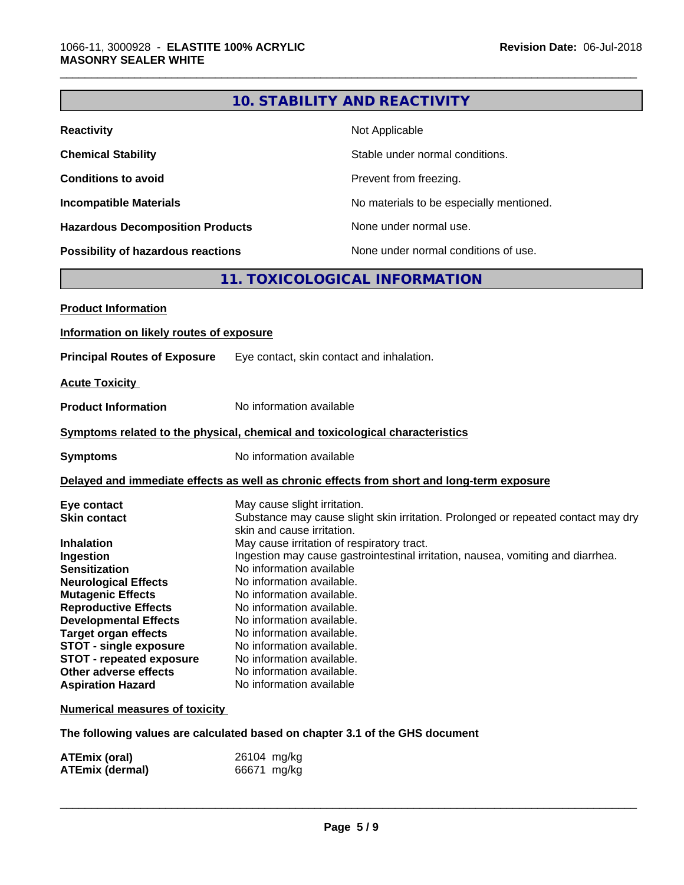|                                                                              |                              | <b>10. STABILITY AND REACTIVITY</b>                                                        |
|------------------------------------------------------------------------------|------------------------------|--------------------------------------------------------------------------------------------|
| <b>Reactivity</b>                                                            |                              | Not Applicable                                                                             |
| <b>Chemical Stability</b>                                                    |                              | Stable under normal conditions.                                                            |
| <b>Conditions to avoid</b>                                                   |                              | Prevent from freezing.                                                                     |
| <b>Incompatible Materials</b>                                                |                              | No materials to be especially mentioned.                                                   |
| <b>Hazardous Decomposition Products</b>                                      |                              | None under normal use.                                                                     |
| Possibility of hazardous reactions                                           |                              | None under normal conditions of use.                                                       |
|                                                                              |                              | 11. TOXICOLOGICAL INFORMATION                                                              |
| <b>Product Information</b>                                                   |                              |                                                                                            |
|                                                                              |                              |                                                                                            |
| Information on likely routes of exposure                                     |                              |                                                                                            |
| <b>Principal Routes of Exposure</b>                                          |                              | Eye contact, skin contact and inhalation.                                                  |
| <b>Acute Toxicity</b>                                                        |                              |                                                                                            |
| <b>Product Information</b>                                                   | No information available     |                                                                                            |
| Symptoms related to the physical, chemical and toxicological characteristics |                              |                                                                                            |
| <b>Symptoms</b>                                                              | No information available     |                                                                                            |
|                                                                              |                              | Delayed and immediate effects as well as chronic effects from short and long-term exposure |
|                                                                              |                              |                                                                                            |
| Eye contact                                                                  | May cause slight irritation. |                                                                                            |
| <b>Skin contact</b>                                                          | skin and cause irritation.   | Substance may cause slight skin irritation. Prolonged or repeated contact may dry          |
| <b>Inhalation</b>                                                            |                              | May cause irritation of respiratory tract.                                                 |
| Ingestion                                                                    |                              | Ingestion may cause gastrointestinal irritation, nausea, vomiting and diarrhea.            |
| <b>Sensitization</b>                                                         | No information available     |                                                                                            |
| <b>Neurological Effects</b>                                                  | No information available.    |                                                                                            |
| <b>Mutagenic Effects</b>                                                     | No information available.    |                                                                                            |
| <b>Reproductive Effects</b>                                                  | No information available.    |                                                                                            |
| <b>Developmental Effects</b>                                                 | No information available.    |                                                                                            |
| <b>Target organ effects</b>                                                  | No information available.    |                                                                                            |
| <b>STOT - single exposure</b>                                                | No information available.    |                                                                                            |
| <b>STOT - repeated exposure</b>                                              | No information available.    |                                                                                            |
| Other adverse effects                                                        | No information available.    |                                                                                            |
| <b>Aspiration Hazard</b>                                                     | No information available     |                                                                                            |
| <b>Numerical measures of toxicity</b>                                        |                              |                                                                                            |
| The following values are calculated based on chapter 3.1 of the GHS document |                              |                                                                                            |

| <b>ATEmix (oral)</b>   | 26104 mg/kg |
|------------------------|-------------|
| <b>ATEmix (dermal)</b> | 66671 mg/kg |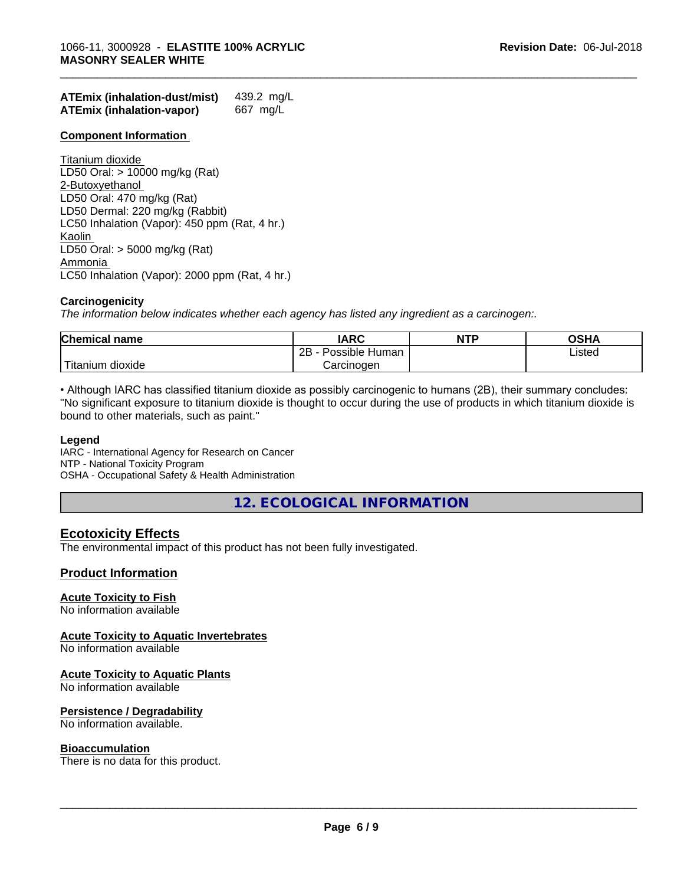| <b>ATEmix (inhalation-dust/mist)</b> | 439.2 mg/L |
|--------------------------------------|------------|
| <b>ATEmix (inhalation-vapor)</b>     | 667 mg/L   |

#### **Component Information**

Titanium dioxide LD50 Oral: > 10000 mg/kg (Rat) 2-Butoxyethanol LD50 Oral: 470 mg/kg (Rat) LD50 Dermal: 220 mg/kg (Rabbit) LC50 Inhalation (Vapor): 450 ppm (Rat, 4 hr.) Kaolin LD50 Oral: > 5000 mg/kg (Rat) Ammonia LC50 Inhalation (Vapor): 2000 ppm (Rat, 4 hr.)

## **Carcinogenicity**

*The information below indicateswhether each agency has listed any ingredient as a carcinogen:.*

| <b>Chemical name</b>   | <b>IARC</b>                   | <b>NTP</b> | <b>OSHA</b> |  |
|------------------------|-------------------------------|------------|-------------|--|
|                        | .<br>2Β<br>Possible<br>⊤Human |            | Listed      |  |
| `Titanium 、<br>dioxide | Carcinoɑen                    |            |             |  |

\_\_\_\_\_\_\_\_\_\_\_\_\_\_\_\_\_\_\_\_\_\_\_\_\_\_\_\_\_\_\_\_\_\_\_\_\_\_\_\_\_\_\_\_\_\_\_\_\_\_\_\_\_\_\_\_\_\_\_\_\_\_\_\_\_\_\_\_\_\_\_\_\_\_\_\_\_\_\_\_\_\_\_\_\_\_\_\_\_\_\_\_\_

• Although IARC has classified titanium dioxide as possibly carcinogenic to humans (2B), their summary concludes: "No significant exposure to titanium dioxide is thought to occur during the use of products in which titanium dioxide is bound to other materials, such as paint."

#### **Legend**

IARC - International Agency for Research on Cancer NTP - National Toxicity Program OSHA - Occupational Safety & Health Administration

**12. ECOLOGICAL INFORMATION**

# **Ecotoxicity Effects**

The environmental impact of this product has not been fully investigated.

## **Product Information**

#### **Acute Toxicity to Fish**

No information available

#### **Acute Toxicity to Aquatic Invertebrates**

No information available

#### **Acute Toxicity to Aquatic Plants**

No information available

#### **Persistence / Degradability**

No information available.

#### **Bioaccumulation**

There is no data for this product.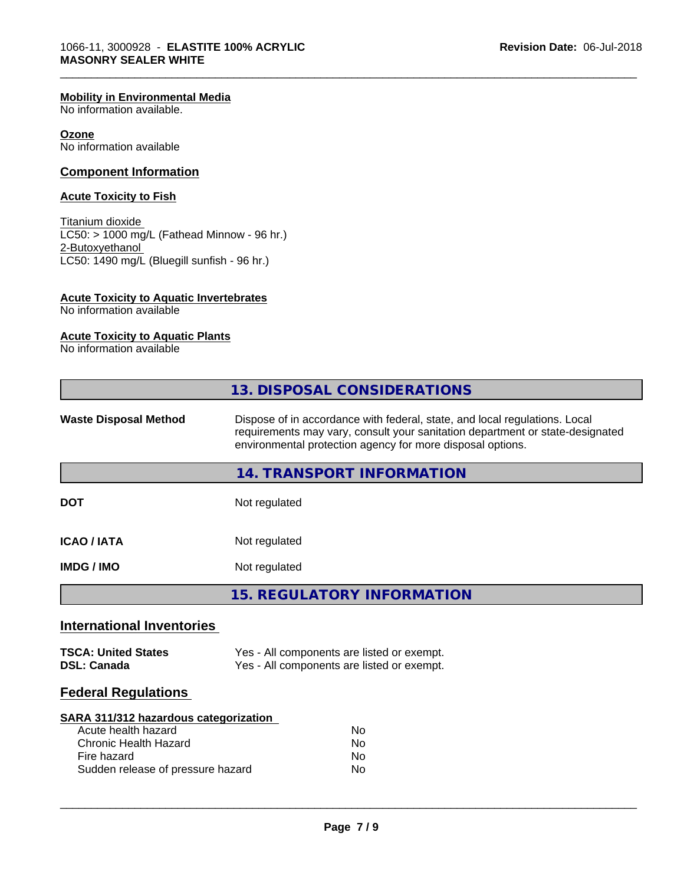#### **Mobility in Environmental Media**

No information available.

#### **Ozone**

No information available

## **Component Information**

## **Acute Toxicity to Fish**

Titanium dioxide LC50: > 1000 mg/L (Fathead Minnow - 96 hr.) 2-Butoxyethanol LC50: 1490 mg/L (Bluegill sunfish - 96 hr.)

## **Acute Toxicity to Aquatic Invertebrates**

No information available

# **Acute Toxicity to Aquatic Plants**

No information available

| 13. DISPOSAL CONSIDERATIONS                                                                                                                                                                                                                               |  |
|-----------------------------------------------------------------------------------------------------------------------------------------------------------------------------------------------------------------------------------------------------------|--|
| Dispose of in accordance with federal, state, and local regulations. Local<br><b>Waste Disposal Method</b><br>requirements may vary, consult your sanitation department or state-designated<br>environmental protection agency for more disposal options. |  |
| <b>14. TRANSPORT INFORMATION</b>                                                                                                                                                                                                                          |  |
| Not regulated<br><b>DOT</b>                                                                                                                                                                                                                               |  |
| <b>ICAO / IATA</b><br>Not regulated                                                                                                                                                                                                                       |  |
| <b>IMDG / IMO</b><br>Not regulated                                                                                                                                                                                                                        |  |
| <b>15. REGULATORY INFORMATION</b>                                                                                                                                                                                                                         |  |
| <b>International Inventories</b>                                                                                                                                                                                                                          |  |
| Yes - All components are listed or exempt.<br><b>TSCA: United States</b><br>Yes - All components are listed or exempt.<br><b>DSL: Canada</b>                                                                                                              |  |
| <b>Federal Regulations</b>                                                                                                                                                                                                                                |  |
| <b>SARA 311/312 hazardous categorization</b><br>Acute health hazard<br>No<br><b>Chronic Health Hazard</b><br>No<br>Fire hazard<br>No                                                                                                                      |  |

\_\_\_\_\_\_\_\_\_\_\_\_\_\_\_\_\_\_\_\_\_\_\_\_\_\_\_\_\_\_\_\_\_\_\_\_\_\_\_\_\_\_\_\_\_\_\_\_\_\_\_\_\_\_\_\_\_\_\_\_\_\_\_\_\_\_\_\_\_\_\_\_\_\_\_\_\_\_\_\_\_\_\_\_\_\_\_\_\_\_\_\_\_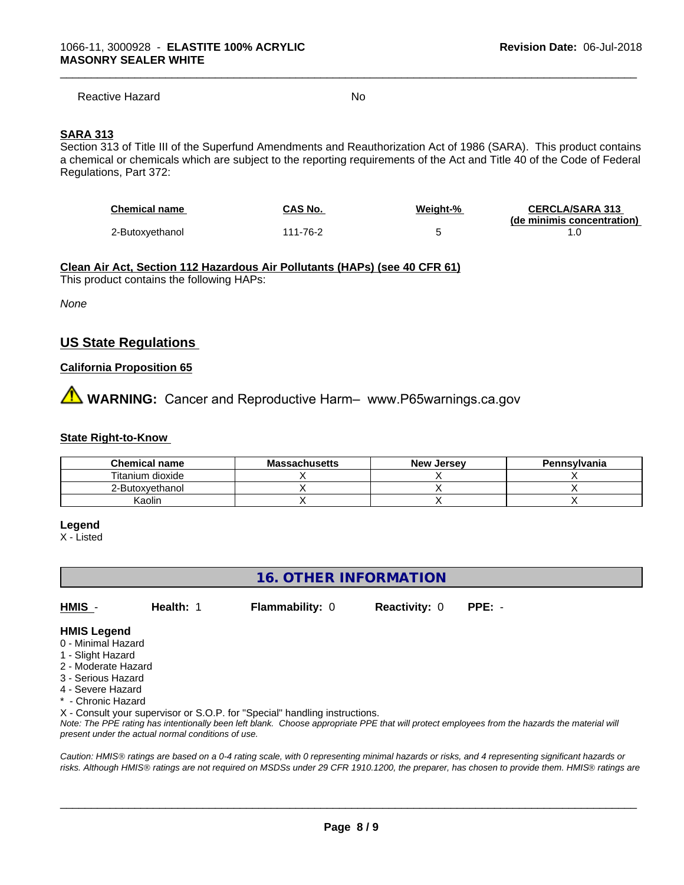Reactive Hazard No. No. 2014

\_\_\_\_\_\_\_\_\_\_\_\_\_\_\_\_\_\_\_\_\_\_\_\_\_\_\_\_\_\_\_\_\_\_\_\_\_\_\_\_\_\_\_\_\_\_\_\_\_\_\_\_\_\_\_\_\_\_\_\_\_\_\_\_\_\_\_\_\_\_\_\_\_\_\_\_\_\_\_\_\_\_\_\_\_\_\_\_\_\_\_\_\_

## **SARA 313**

Section 313 of Title III of the Superfund Amendments and Reauthorization Act of 1986 (SARA). This product contains a chemical or chemicals which are subject to the reporting requirements of the Act and Title 40 of the Code of Federal Regulations, Part 372:

| <b>Chemical name</b> | CAS No.  | Weiaht-% | <b>CERCLA/SARA 313</b>     |
|----------------------|----------|----------|----------------------------|
|                      |          |          | (de minimis concentration) |
| 2-Butoxvethanol      | 111-76-2 |          |                            |

#### **Clean Air Act,Section 112 Hazardous Air Pollutants (HAPs) (see 40 CFR 61)**

This product contains the following HAPs:

*None*

# **US State Regulations**

#### **California Proposition 65**

# **AVIMARNING:** Cancer and Reproductive Harm– www.P65warnings.ca.gov

#### **State Right-to-Know**

| <b>Chemical name</b> | <b>Massachusetts</b> | <b>New Jersey</b> | Pennsylvania |
|----------------------|----------------------|-------------------|--------------|
| Titanium dioxide     |                      |                   |              |
| 2-Butoxvethanol      |                      |                   |              |
| Kaolin               |                      |                   |              |

#### **Legend**

X - Listed

# **16. OTHER INFORMATION**

**HMIS** - **Health:** 1 **Flammability:** 0 **Reactivity:** 0 **PPE:** -

#### **HMIS Legend**

- 0 Minimal Hazard
- 1 Slight Hazard
- 2 Moderate Hazard
- 3 Serious Hazard
- 4 Severe Hazard
- \* Chronic Hazard

X - Consult your supervisor or S.O.P. for "Special" handling instructions.

*Note: The PPE rating has intentionally been left blank. Choose appropriate PPE that will protect employees from the hazards the material will present under the actual normal conditions of use.*

*Caution: HMISÒ ratings are based on a 0-4 rating scale, with 0 representing minimal hazards or risks, and 4 representing significant hazards or risks. Although HMISÒ ratings are not required on MSDSs under 29 CFR 1910.1200, the preparer, has chosen to provide them. HMISÒ ratings are*